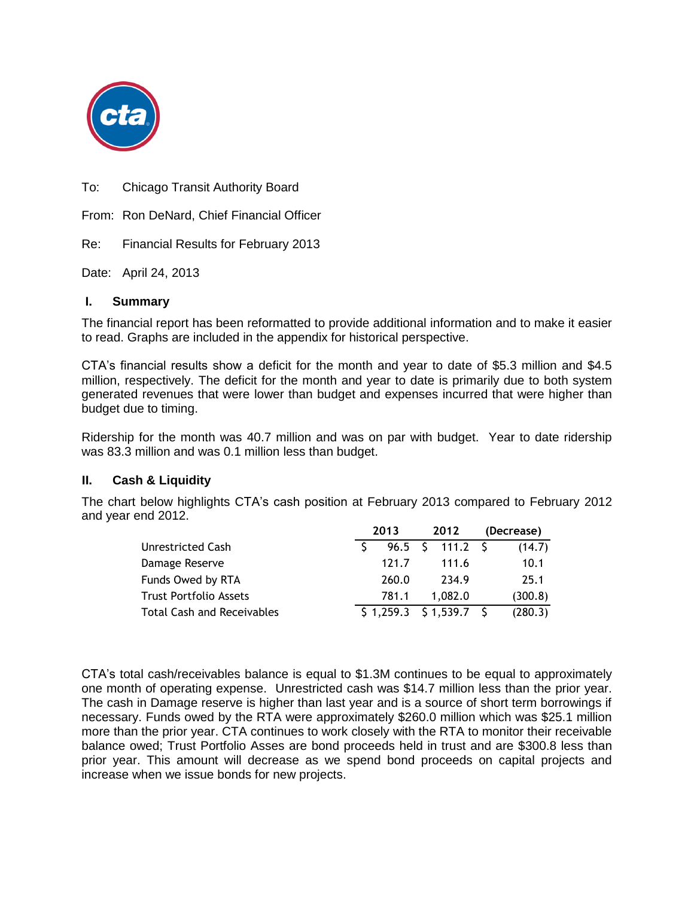

To: Chicago Transit Authority Board

From: Ron DeNard, Chief Financial Officer

Re: Financial Results for February 2013

Date: April 24, 2013

# **I. Summary**

The financial report has been reformatted to provide additional information and to make it easier to read. Graphs are included in the appendix for historical perspective.

CTA's financial results show a deficit for the month and year to date of \$5.3 million and \$4.5 million, respectively. The deficit for the month and year to date is primarily due to both system generated revenues that were lower than budget and expenses incurred that were higher than budget due to timing.

Ridership for the month was 40.7 million and was on par with budget. Year to date ridership was 83.3 million and was 0.1 million less than budget.

# **II. Cash & Liquidity**

The chart below highlights CTA's cash position at February 2013 compared to February 2012 and year end 2012.

|                                   | 2013 |       | 2012 |                          | (Decrease) |         |
|-----------------------------------|------|-------|------|--------------------------|------------|---------|
| Unrestricted Cash                 |      |       |      |                          |            | (14.7)  |
| Damage Reserve                    |      | 121.7 |      | 111.6                    |            | 10.1    |
| Funds Owed by RTA                 |      | 260.0 |      | 234.9                    |            | 25.1    |
| <b>Trust Portfolio Assets</b>     |      | 781.1 |      | 1.082.0                  |            | (300.8) |
| <b>Total Cash and Receivables</b> |      |       |      | $$1,259.3$ $$1,539.7$ \$ |            | (280.3) |

CTA's total cash/receivables balance is equal to \$1.3M continues to be equal to approximately one month of operating expense. Unrestricted cash was \$14.7 million less than the prior year. The cash in Damage reserve is higher than last year and is a source of short term borrowings if necessary. Funds owed by the RTA were approximately \$260.0 million which was \$25.1 million more than the prior year. CTA continues to work closely with the RTA to monitor their receivable balance owed; Trust Portfolio Asses are bond proceeds held in trust and are \$300.8 less than prior year. This amount will decrease as we spend bond proceeds on capital projects and increase when we issue bonds for new projects.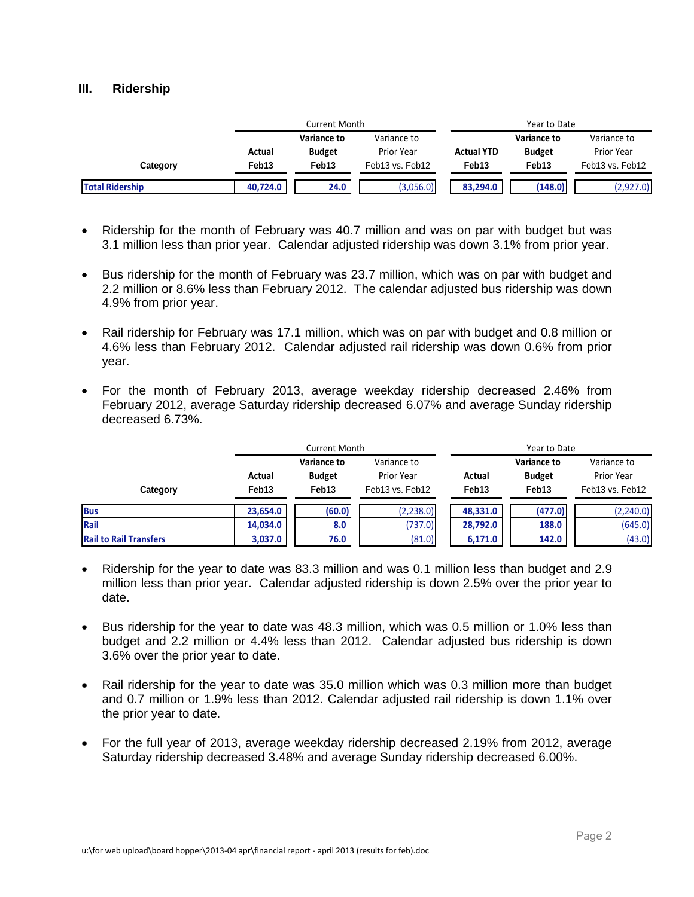### **III. Ridership**

|                        | Current Month |                    |                 | Year to Date      |                   |                 |  |
|------------------------|---------------|--------------------|-----------------|-------------------|-------------------|-----------------|--|
|                        |               | <b>Variance to</b> | Variance to     |                   | Variance to       | Variance to     |  |
|                        | Actual        | <b>Budget</b>      | Prior Year      | <b>Actual YTD</b> | <b>Budget</b>     | Prior Year      |  |
| Category               | Feb13         | Feb <sub>13</sub>  | Feb13 vs. Feb12 | Feb <sub>13</sub> | Feb <sub>13</sub> | Feb13 vs. Feb12 |  |
| <b>Total Ridership</b> | 40.724.0      | 24.0               | (3,056.0)       | 83.294.0          | (148.0)           | (2,927.0)       |  |

- Ridership for the month of February was 40.7 million and was on par with budget but was 3.1 million less than prior year. Calendar adjusted ridership was down 3.1% from prior year.
- Bus ridership for the month of February was 23.7 million, which was on par with budget and 2.2 million or 8.6% less than February 2012. The calendar adjusted bus ridership was down 4.9% from prior year.
- Rail ridership for February was 17.1 million, which was on par with budget and 0.8 million or 4.6% less than February 2012. Calendar adjusted rail ridership was down 0.6% from prior year.
- For the month of February 2013, average weekday ridership decreased 2.46% from February 2012, average Saturday ridership decreased 6.07% and average Sunday ridership decreased 6.73%.

|                               |                             | <b>Current Month</b>                  |                                              | Year to Date    |                                       |                                              |  |
|-------------------------------|-----------------------------|---------------------------------------|----------------------------------------------|-----------------|---------------------------------------|----------------------------------------------|--|
| Category                      | Actual<br>Feb <sub>13</sub> | Variance to<br><b>Budget</b><br>Feb13 | Variance to<br>Prior Year<br>Feb13 vs. Feb12 | Actual<br>Feb13 | Variance to<br><b>Budget</b><br>Feb13 | Variance to<br>Prior Year<br>Feb13 vs. Feb12 |  |
| <b>Bus</b>                    | 23.654.0                    | (60.0)                                | (2, 238.0)                                   | 48,331.0        | (477.0)                               | (2,240.0)                                    |  |
| Rail                          | 14,034.0                    | 8.0                                   | (737.0)                                      | 28,792.0        | 188.0                                 | (645.0)                                      |  |
| <b>Rail to Rail Transfers</b> | 3,037.0                     | 76.0                                  | (81.0)                                       | 6,171.0         | 142.0                                 | (43.0)                                       |  |

- Ridership for the year to date was 83.3 million and was 0.1 million less than budget and 2.9 million less than prior year. Calendar adjusted ridership is down 2.5% over the prior year to date.
- Bus ridership for the year to date was 48.3 million, which was 0.5 million or 1.0% less than budget and 2.2 million or 4.4% less than 2012. Calendar adjusted bus ridership is down 3.6% over the prior year to date.
- Rail ridership for the year to date was 35.0 million which was 0.3 million more than budget and 0.7 million or 1.9% less than 2012. Calendar adjusted rail ridership is down 1.1% over the prior year to date.
- For the full year of 2013, average weekday ridership decreased 2.19% from 2012, average Saturday ridership decreased 3.48% and average Sunday ridership decreased 6.00%.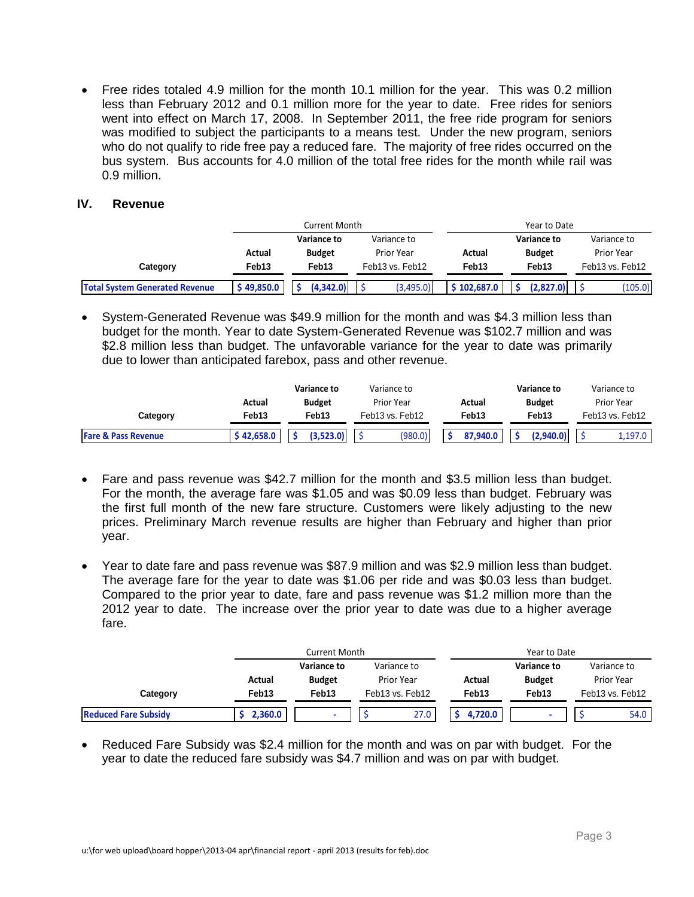Free rides totaled 4.9 million for the month 10.1 million for the year. This was 0.2 million less than February 2012 and 0.1 million more for the year to date. Free rides for seniors went into effect on March 17, 2008. In September 2011, the free ride program for seniors was modified to subject the participants to a means test. Under the new program, seniors who do not qualify to ride free pay a reduced fare. The majority of free rides occurred on the bus system. Bus accounts for 4.0 million of the total free rides for the month while rail was 0.9 million.

## **IV. Revenue**

|                                       |           | Current Month              |                 | Year to Date      |                    |                 |  |
|---------------------------------------|-----------|----------------------------|-----------------|-------------------|--------------------|-----------------|--|
|                                       |           | Variance to<br>Variance to |                 |                   | <b>Variance to</b> | Variance to     |  |
|                                       | Actual    | <b>Budget</b>              | Prior Year      | Actual            | <b>Budget</b>      | Prior Year      |  |
| Category                              | Feb13     | Feb <sub>13</sub>          | Feb13 vs. Feb12 | Feb <sub>13</sub> | Feb <sub>13</sub>  | Feb13 vs. Feb12 |  |
| <b>Total System Generated Revenue</b> | 349.850.0 | (4.342.0)                  | (3,495.0)       | \$102,687.0       | (2.827.0)          | (105.0)         |  |

 System-Generated Revenue was \$49.9 million for the month and was \$4.3 million less than budget for the month. Year to date System-Generated Revenue was \$102.7 million and was \$2.8 million less than budget. The unfavorable variance for the year to date was primarily due to lower than anticipated farebox, pass and other revenue.

|                                |                   | <b>Variance to</b> | Variance to       |                   | <b>Variance to</b> | Variance to       |  |
|--------------------------------|-------------------|--------------------|-------------------|-------------------|--------------------|-------------------|--|
|                                | Actual            | <b>Budget</b>      | <b>Prior Year</b> | Actual            | <b>Budget</b>      | <b>Prior Year</b> |  |
| Category                       | Feb <sub>13</sub> | Feb <sub>13</sub>  | Feb13 vs. Feb12   | Feb <sub>13</sub> | Feb13              | Feb13 vs. Feb12   |  |
| <b>Fare &amp; Pass Revenue</b> | \$42,658.0        | (3.523.0)          | (980.0)           | 87,940.0          | (2.940.0)          | 1,197.0           |  |

- Fare and pass revenue was \$42.7 million for the month and \$3.5 million less than budget. For the month, the average fare was \$1.05 and was \$0.09 less than budget. February was the first full month of the new fare structure. Customers were likely adjusting to the new prices. Preliminary March revenue results are higher than February and higher than prior year.
- Year to date fare and pass revenue was \$87.9 million and was \$2.9 million less than budget. The average fare for the year to date was \$1.06 per ride and was \$0.03 less than budget. Compared to the prior year to date, fare and pass revenue was \$1.2 million more than the 2012 year to date. The increase over the prior year to date was due to a higher average fare.

|                             |         | Current Month |                   |                   | Year to Date  |                 |
|-----------------------------|---------|---------------|-------------------|-------------------|---------------|-----------------|
|                             |         | Variance to   | Variance to       |                   | Variance to   | Variance to     |
|                             | Actual  | <b>Budget</b> | <b>Prior Year</b> | Actual            | <b>Budget</b> | Prior Year      |
| Category                    | Feb13   | Feb13         | Feb13 vs. Feb12   | Feb <sub>13</sub> | Feb13         | Feb13 vs. Feb12 |
| <b>Reduced Fare Subsidy</b> | 2,360.0 |               | 27.0              | 4.720.0           |               | 54.0            |

• Reduced Fare Subsidy was \$2.4 million for the month and was on par with budget. For the year to date the reduced fare subsidy was \$4.7 million and was on par with budget.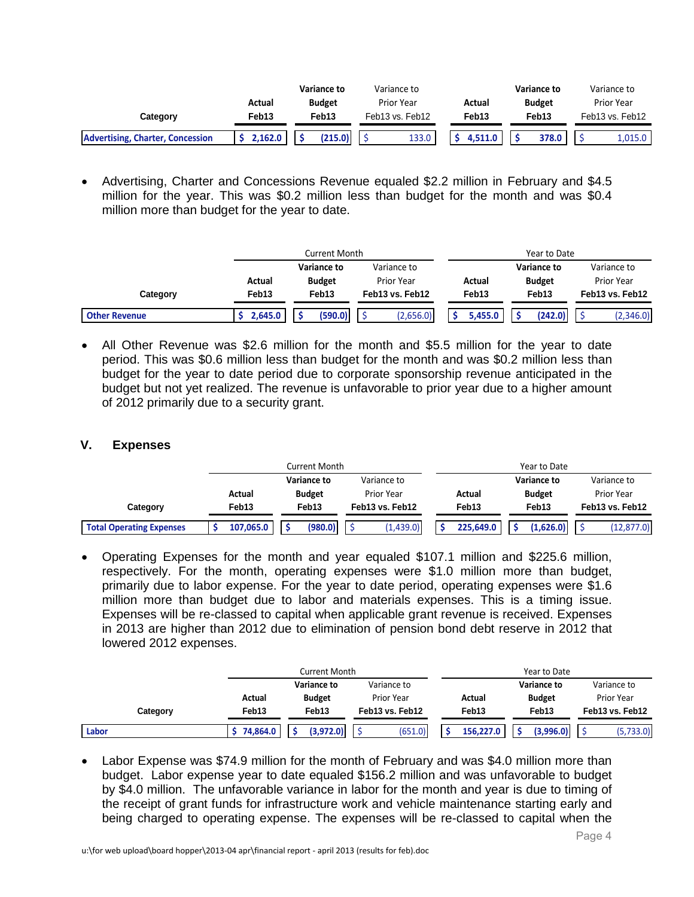|                                         |                   | <b>Variance to</b> | Variance to       |         | <b>Variance to</b> | Variance to       |
|-----------------------------------------|-------------------|--------------------|-------------------|---------|--------------------|-------------------|
|                                         | Actual            | <b>Budget</b>      | <b>Prior Year</b> | Actual  | <b>Budget</b>      | <b>Prior Year</b> |
| Category                                | Feb <sub>13</sub> | Feb13              | Feb13 vs. Feb12   | Feb13   | Feb13              | Feb13 vs. Feb12   |
| <b>Advertising, Charter, Concession</b> | 2,162.0           | (215.0)            | 133.0             | 4,511.0 | 378.0              | 1,015.0           |

 Advertising, Charter and Concessions Revenue equaled \$2.2 million in February and \$4.5 million for the year. This was \$0.2 million less than budget for the month and was \$0.4 million more than budget for the year to date.

|                      |         | Current Month      |                 |         | Year to Date  |                 |
|----------------------|---------|--------------------|-----------------|---------|---------------|-----------------|
|                      |         | <b>Variance to</b> | Variance to     |         | Variance to   | Variance to     |
|                      | Actual  | <b>Budget</b>      | Prior Year      | Actual  | <b>Budget</b> | Prior Year      |
| Category             | Feb13   | Feb13              | Feb13 vs. Feb12 | Feb13   | Feb13         | Feb13 vs. Feb12 |
| <b>Other Revenue</b> | 2,645.0 | (590.0)            | (2,656.0)       | 5,455.0 | (242.0)       | (2,346.0)       |

 All Other Revenue was \$2.6 million for the month and \$5.5 million for the year to date period. This was \$0.6 million less than budget for the month and was \$0.2 million less than budget for the year to date period due to corporate sponsorship revenue anticipated in the budget but not yet realized. The revenue is unfavorable to prior year due to a higher amount of 2012 primarily due to a security grant.

## **V. Expenses**

|                                 | Current Month |                            |                                    |  |           | Year to Date                           |           |             |                 |             |             |
|---------------------------------|---------------|----------------------------|------------------------------------|--|-----------|----------------------------------------|-----------|-------------|-----------------|-------------|-------------|
|                                 |               | Variance to<br>Variance to |                                    |  |           |                                        |           | Variance to |                 | Variance to |             |
|                                 | Actual        |                            | <b>Budget</b><br><b>Prior Year</b> |  |           | Actual<br><b>Budget</b>                |           |             |                 | Prior Year  |             |
| Category                        | Feb13         |                            | Feb13<br>Feb13 vs. Feb12           |  |           | Feb <sub>13</sub><br>Feb <sub>13</sub> |           |             | Feb13 vs. Feb12 |             |             |
| <b>Total Operating Expenses</b> | 107,065.0     |                            | (980.0)                            |  | (1,439.0) |                                        | 225.649.0 |             | (1.626.0)       |             | (12, 877.0) |

 Operating Expenses for the month and year equaled \$107.1 million and \$225.6 million, respectively. For the month, operating expenses were \$1.0 million more than budget, primarily due to labor expense. For the year to date period, operating expenses were \$1.6 million more than budget due to labor and materials expenses. This is a timing issue. Expenses will be re-classed to capital when applicable grant revenue is received. Expenses in 2013 are higher than 2012 due to elimination of pension bond debt reserve in 2012 that lowered 2012 expenses.

|          |          | Current Month              |                   | Year to Date |                    |                 |  |
|----------|----------|----------------------------|-------------------|--------------|--------------------|-----------------|--|
|          |          | Variance to<br>Variance to |                   |              | <b>Variance to</b> | Variance to     |  |
|          | Actual   | <b>Budget</b>              | <b>Prior Year</b> | Actual       | <b>Budget</b>      | Prior Year      |  |
| Category | Feb13    | Feb <sub>13</sub>          | Feb13 vs. Feb12   | Feb13        | Feb <sub>13</sub>  | Feb13 vs. Feb12 |  |
| Labor    | 74.864.0 | (3.972.0)                  | (651.0)           | 156.227.0    | (3.996.0)          | (5,733.0)       |  |

• Labor Expense was \$74.9 million for the month of February and was \$4.0 million more than budget. Labor expense year to date equaled \$156.2 million and was unfavorable to budget by \$4.0 million. The unfavorable variance in labor for the month and year is due to timing of the receipt of grant funds for infrastructure work and vehicle maintenance starting early and being charged to operating expense. The expenses will be re-classed to capital when the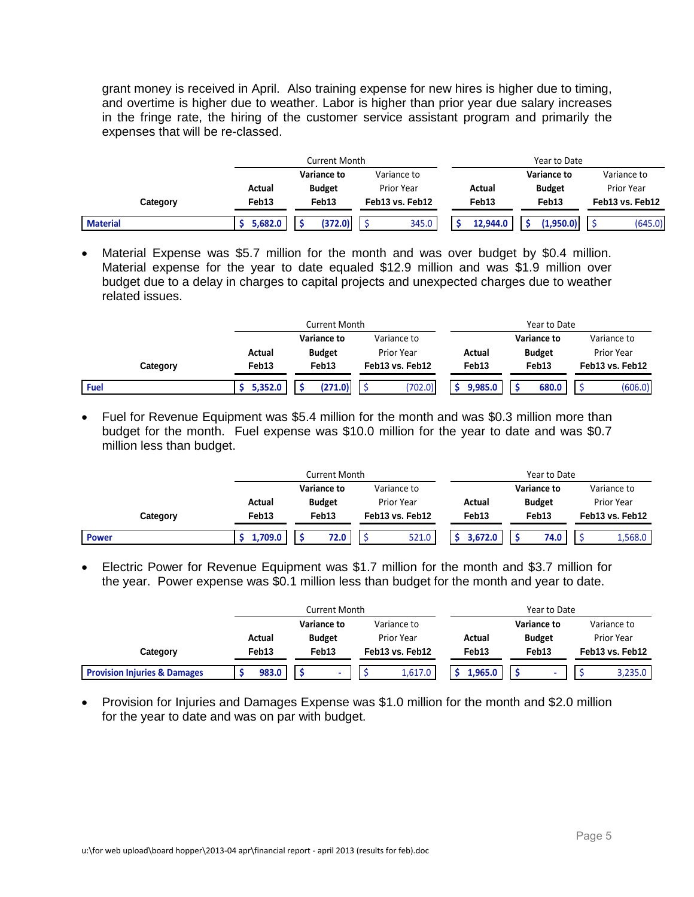grant money is received in April. Also training expense for new hires is higher due to timing, and overtime is higher due to weather. Labor is higher than prior year due salary increases in the fringe rate, the hiring of the customer service assistant program and primarily the expenses that will be re-classed.

|                 |         | <b>Current Month</b>       |                   |                   | Year to Date  |                 |
|-----------------|---------|----------------------------|-------------------|-------------------|---------------|-----------------|
|                 |         | Variance to<br>Variance to |                   |                   | Variance to   | Variance to     |
|                 | Actual  | <b>Budget</b>              | <b>Prior Year</b> | Actual            | <b>Budget</b> | Prior Year      |
| Category        | Feb13   | Feb13                      | Feb13 vs. Feb12   | Feb <sub>13</sub> | Feb13         | Feb13 vs. Feb12 |
| <b>Material</b> | 5,682.0 | (372.0)                    | 345.0             | 12.944.0          | (1.950.0)     | (645.0)         |

 Material Expense was \$5.7 million for the month and was over budget by \$0.4 million. Material expense for the year to date equaled \$12.9 million and was \$1.9 million over budget due to a delay in charges to capital projects and unexpected charges due to weather related issues.

|             |         | Current Month              |                   |         | Year to Date  |                   |
|-------------|---------|----------------------------|-------------------|---------|---------------|-------------------|
|             |         | Variance to<br>Variance to |                   |         | Variance to   | Variance to       |
|             | Actual  | <b>Budget</b>              | <b>Prior Year</b> | Actual  | <b>Budget</b> | <b>Prior Year</b> |
| Category    | Feb13   | Feb13                      | Feb13 vs. Feb12   | Feb13   | Feb13         | Feb13 vs. Feb12   |
| <b>Fuel</b> | 5,352.0 | (271.0)                    | (702.0)           | 9.985.0 | 680.0         | (606.0)           |

 Fuel for Revenue Equipment was \$5.4 million for the month and was \$0.3 million more than budget for the month. Fuel expense was \$10.0 million for the year to date and was \$0.7 million less than budget.

|              |                   | Current Month      |                 | Year to Date      |                            |                   |  |  |  |
|--------------|-------------------|--------------------|-----------------|-------------------|----------------------------|-------------------|--|--|--|
|              |                   | <b>Variance to</b> | Variance to     |                   | Variance to<br>Variance to |                   |  |  |  |
|              | Actual            | <b>Budget</b>      | Prior Year      | Actual            | <b>Budget</b>              | <b>Prior Year</b> |  |  |  |
| Category     | Feb <sub>13</sub> | Feb13              | Feb13 vs. Feb12 | Feb <sub>13</sub> | Feb13                      | Feb13 vs. Feb12   |  |  |  |
| <b>Power</b> | 1,709.0           | 72.0               | 521.0           | 3.672.0           | 74.0                       | 1,568.0           |  |  |  |

 Electric Power for Revenue Equipment was \$1.7 million for the month and \$3.7 million for the year. Power expense was \$0.1 million less than budget for the month and year to date.

|                                         |        | Current Month |               |  |                   | Year to Date |                   |         |               |  |                   |         |
|-----------------------------------------|--------|---------------|---------------|--|-------------------|--------------|-------------------|---------|---------------|--|-------------------|---------|
|                                         |        |               | Variance to   |  | Variance to       |              |                   |         | Variance to   |  | Variance to       |         |
|                                         | Actual |               | <b>Budget</b> |  | <b>Prior Year</b> |              | Actual            |         | <b>Budget</b> |  | <b>Prior Year</b> |         |
| Category                                | Feb13  |               | Feb13         |  | Feb13 vs. Feb12   |              | Feb <sub>13</sub> |         | Feb13         |  | Feb13 vs. Feb12   |         |
| <b>Provision Injuries &amp; Damages</b> |        | 983.0         |               |  |                   | 1,617.0      |                   | 1.965.0 |               |  |                   | 3,235.0 |

• Provision for Injuries and Damages Expense was \$1.0 million for the month and \$2.0 million for the year to date and was on par with budget.